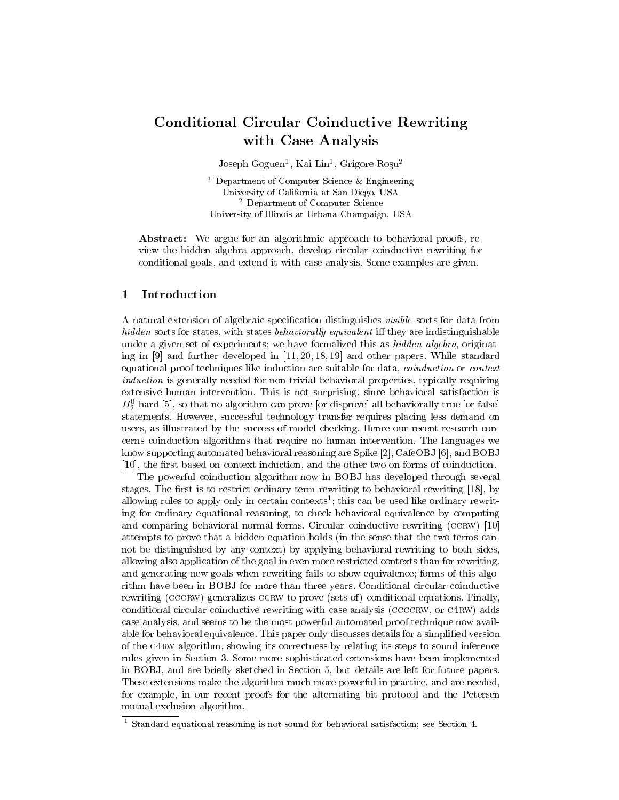# Conditional Circular Coinductive Rewriting with Case Analysis

Joseph Goguen, Kai Lin, Grigore Rosu

 $\,$  - Department of Computer Science  $\alpha$  Engineering University of California at San Diego, USA <sup>2</sup> Department of Computer Science University of Illinois at Urbana-Champaign, USA

Abstract: We argue for an algorithmic approach to behavioral proofs, review the hidden algebra approach, develop circular coinductive rewriting for conditional goals, and extend it with case analysis. Some examples are given.

## 1 Introduction

A natural extension of algebraic specication distinguishes visible sorts for data from  $hidden$  sorts for states, with states  $behaviorally$  equivalent iff they are indistinguishable under a given set of experiments; we have formalized this as *hidden algebra*, originating in [9] and further developed in [11, 20, 18, 19] and other papers. While standard equational proof techniques like induction are suitable for data, *coinduction* or *context* induction is generally needed for non-trivial behavioral properties, typically requiring extensive human intervention. This is not surprising, since behavioral satisfaction is  $H_2^{\text{-}}$ hard [5], so that no algorithm can prove [or disprove] all behaviorally true [or false] statements. However, successful technology transfer requires placing less demand on users, as illustrated by the success of model checking. Hence our recent research concerns coinduction algorithms that require no human intervention. The languages we know supporting automated behavioral reasoning are Spike [2], CafeOBJ [6], and BOBJ [10], the first based on context induction, and the other two on forms of coinduction.

The powerful coinduction algorithm now in BOBJ has developed through several stages. The first is to restrict ordinary term rewriting to behavioral rewriting [18], by allowing rules to apply only in certain contexts"; this can be used like ordinary rewriting for ordinary equational reasoning, to check behavioral equivalence by computing and comparing behavioral normal forms. Circular coinductive rewriting (ccrw) [10] attempts to prove that a hidden equation holds (in the sense that the two terms cannot be distinguished by any context) by applying behavioral rewriting to both sides, allowing also application of the goal in even more restricted contexts than for rewriting, and generating new goals when rewriting fails to show equivalence; forms of this algorithm have been in BOBJ for more than three years. Conditional circular coinductive rewriting (CCCRW) generalizes CCRW to prove (sets of) conditional equations. Finally, conditional circular coinductive rewriting with case analysis (ccccrw, or c4rw) adds case analysis, and seems to be the most powerful automated proof technique now available for behavioral equivalence. This paper only discusses details for a simplied version of the c4rw algorithm, showing its correctness by relating its steps to sound inference rules given in Section 3. Some more sophisticated extensions have been implemented in BOBJ, and are briefly sketched in Section 5, but details are left for future papers. These extensions make the algorithm much more powerful in practice, and are needed, for example, in our recent proofs for the alternating bit protocol and the Petersen mutual exclusion algorithm.

<sup>1</sup> Standard equational reasoning is not sound for behavioral satisfaction; see Section 4.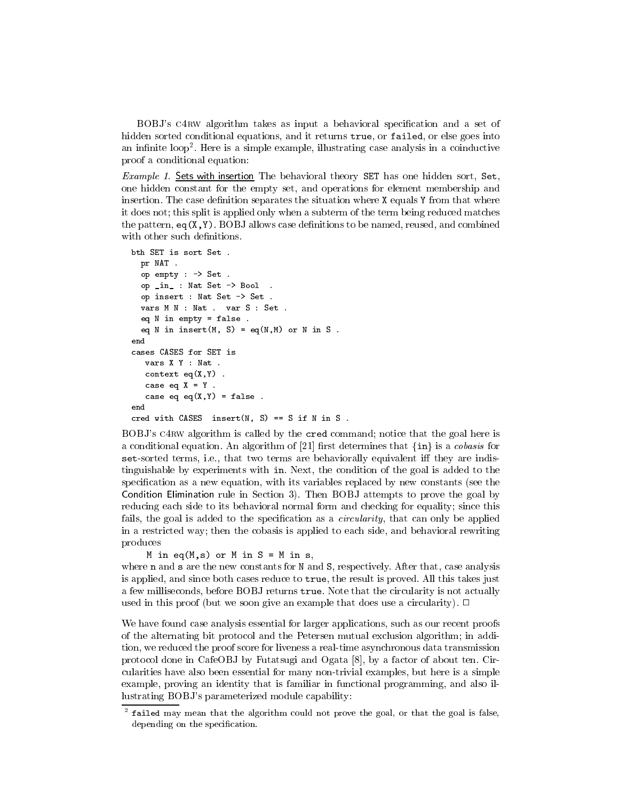BOBJ's C4RW algorithm takes as input a behavioral specification and a set of hidden sorted conditional equations, and it returns true, or failed, or else goes into an innite loop2 . Here is a simple example, illustrating case analysis in a coinductive proof a conditional equation:

Example 1. Sets with insertion The behavioral theory SET has one hidden sort, Set, one hidden constant for the empty set, and operations for element membership and insertion. The case definition separates the situation where X equals Y from that where it does not; this split is applied only when a subterm of the term being reduced matches the pattern,  $eq(X, Y)$ . BOBJ allows case definitions to be named, reused, and combined with other such definitions.

```
bth SET is sort Set .
  pr NAT .
  op empty : -> Set .
  op _in_ : Nat Set -> Bool .
  op insert : Nat Set -> Set .
  vars M N : Nat . var S : Set .
  eq N in empty = false .
  eq N in insert(M, S) = eq(N,M) or N in S.
end
cases CASES for SET is
   vars X Y : Nat .
   context eq(X, Y).
   case eq X = Y.
   case eq eq(X, Y) = false.
end
cred with CASES insert (N, S) == S if N in S.
```
BOBJ's c4rw algorithm is called by the cred command; notice that the goal here is a conditional equation. An algorithm of [21] first determines that  $\{\text{in}\}\$ is a cobasis for set-sorted terms, i.e., that two terms are behaviorally equivalent iff they are indistinguishable by experiments with in. Next, the condition of the goal is added to the specification as a new equation, with its variables replaced by new constants (see the Condition Elimination rule in Section 3). Then BOBJ attempts to prove the goal by reducing each side to its behavioral normal form and checking for equality; since this fails, the goal is added to the specification as a *circularity*, that can only be applied in a restricted way; then the cobasis is applied to each side, and behavioral rewriting produces

M in eq(M,s) or M in  $S = M$  in s,

where **n** and **s** are the new constants for N and S, respectively. After that, case analysis is applied, and since both cases reduce to true, the result is proved. All this takes just a few milliseconds, before BOBJ returns true. Note that the circularity is not actually used in this proof (but we soon give an example that does use a circularity).  $\Box$ 

We have found case analysis essential for larger applications, such as our recent proofs of the alternating bit protocol and the Petersen mutual exclusion algorithm; in addition, we reduced the proof score for liveness a real-time asynchronous data transmission protocol done in CafeOBJ by Futatsugi and Ogata [8], by a factor of about ten. Circularities have also been essential for many non-trivial examples, but here is a simple example, proving an identity that is familiar in functional programming, and also illustrating BOBJ's parameterized module capability:

<sup>2</sup> failed may mean that the algorithm could not prove the goal, or that the goal is false, depending on the specification.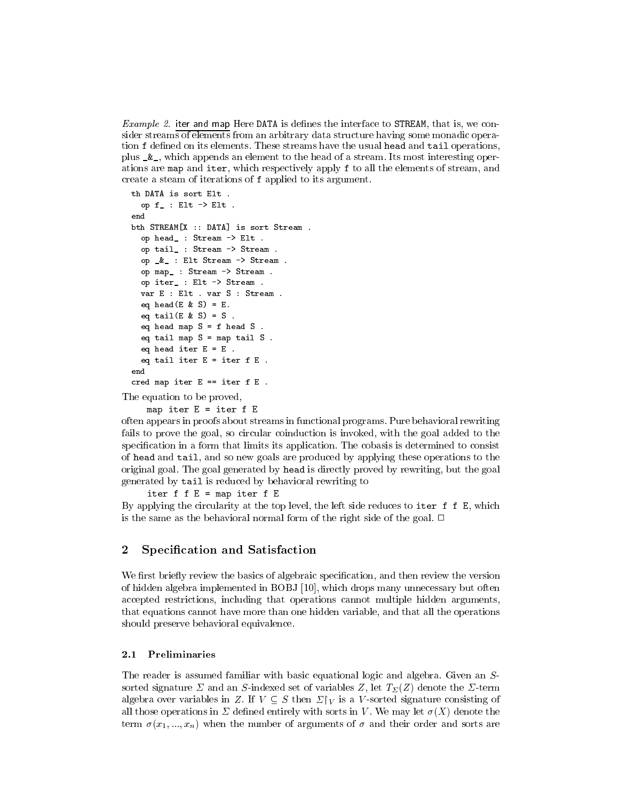$Example 2$ . iter and map Here DATA is defines the interface to STREAM, that is, we consider streams of elements from an arbitrary data structure having some monadic operation f defined on its elements. These streams have the usual head and tail operations, plus  $\mathcal{L}$ , which appends an element to the head of a stream. Its most interesting operations are map and iter, which respectively apply f to all the elements of stream, and create a steam of iterations of f applied to its argument.

```
th DATA is sort Elt .
  op f_: Elt \rightarrow Elt .
end
bth STREAM[X :: DATA] is sort Stream .
  op head_ : Stream -> Elt .
  op tail_ : Stream -> Stream .
  op _&_ : Elt Stream -> Stream .
  op map_ : Stream -> Stream .
  op iter_ : Elt -> Stream .
  var E : Elt . var S : Stream .
  eq head(E & S) = E.
  eq tail(E & S) = S.
  eq head map S = f head S .
  eq tail map S = map tail S .
  eq head iter E = E.
  eq tail iter E = iter f E.
end
cred map iter E = iter f E.
```
The equation to be proved,

```
map iter E = iter f E
```
often appears in proofs about streams in functional programs. Pure behavioral rewriting fails to prove the goal, so circular coinduction is invoked, with the goal added to the specification in a form that limits its application. The cobasis is determined to consist of head and tail, and so new goals are produced by applying these operations to the original goal. The goal generated by head is directly proved by rewriting, but the goal generated by tail is reduced by behavioral rewriting to

iter  $f$   $f$   $E$  = map iter  $f$   $E$ 

By applying the circularity at the top level, the left side reduces to iter f f E, which is the same as the behavioral normal form of the right side of the goal.  $\Box$ 

# 2 Specification and Satisfaction

We first briefly review the basics of algebraic specification, and then review the version of hidden algebra implemented in BOBJ [10], which drops many unnecessary but often accepted restrictions, including that operations cannot multiple hidden arguments, that equations cannot have more than one hidden variable, and that all the operations should preserve behavioral equivalence.

#### 2.1 Preliminaries

The reader is assumed familiar with basic equational logic and algebra. Given an S sorted signature  $\Sigma$  and an S-indexed set of variables Z, let  $T_{\Sigma}(Z)$  denote the  $\Sigma$ -term algebra over variables in Z. If  $V \subseteq S$  then  $\Sigma |_{V}$  is a V-sorted signature consisting of all those operations in  $\Sigma$  defined entirely with sorts in V. We may let  $\sigma(X)$  denote the term  $\sigma(x_1, ..., x_n)$  when the number of arguments of  $\sigma$  and their order and sorts are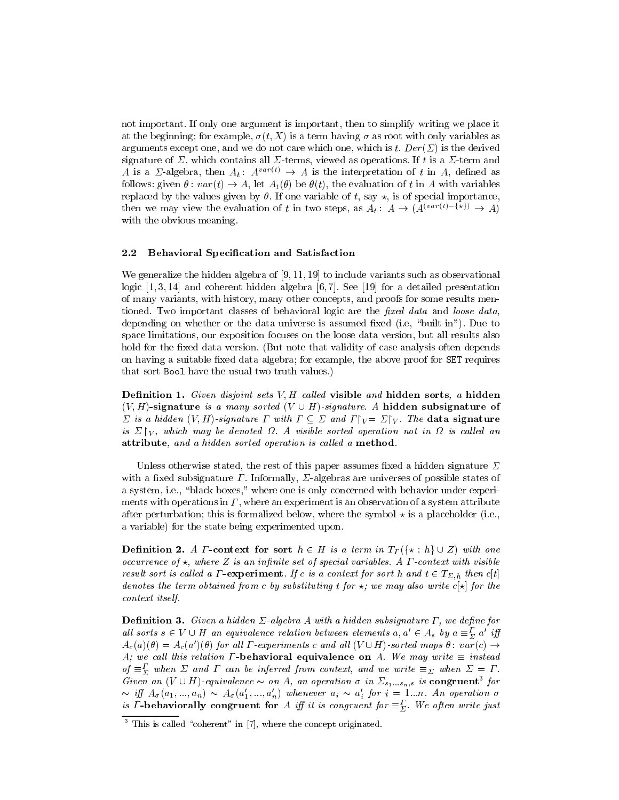not important. If only one argument is important, then to simplify writing we place it at the beginning; for example,  $\sigma(t, X)$  is a term having  $\sigma$  as root with only variables as arguments except one, and we do not care which one, which is t.  $Der(\Sigma)$  is the derived signature of  $\Sigma$ , which contains all  $\Sigma$ -terms, viewed as operations. If t is a  $\Sigma$ -term and A is a  $\Sigma$ -algebra, then  $A_t: A^{var(t)} \to A$  is the interpretation of t in A, defined as follows: given  $\theta$ :  $var(t) \rightarrow A$ , let  $A_t(\theta)$  be  $\theta(t)$ , the evaluation of t in A with variables replaced by the values given by  $\theta$ . If one variable of t, say  $\star$ , is of special importance, then we may view the evaluation of t in two steps, as  $A_t: A \to (A^{(var(t)-\{\star\})} \to A)$ with the obvious meaning.

### 2.2 Behavioral Specification and Satisfaction

We generalize the hidden algebra of [9, 11, 19] to include variants such as observational logic  $[1, 3, 14]$  and coherent hidden algebra  $[6, 7]$ . See [19] for a detailed presentation of many variants, with history, many other concepts, and proofs for some results mentioned. Two important classes of behavioral logic are the *fixed data* and *loose data*, depending on whether or the data universe is assumed fixed (i.e, "built-in"). Due to space limitations, our exposition focuses on the loose data version, but all results also hold for the fixed data version. (But note that validity of case analysis often depends on having a suitable fixed data algebra; for example, the above proof for **SET** requires that sort Bool have the usual two truth values.)

**Definition 1.** Given disjoint sets  $V, H$  called visible and hidden sorts, a hidden (V)-signature is a many sorted (V  $\sigma$  and subsidiary subsidiary of  $\sigma$  $\sum$  is a hidden  $(V,H)$ -signature  $\Gamma$  with  $\Gamma \subseteq \Sigma$  and  $\Gamma|_V = \Sigma|_V$ . The **data signature** is  $\pm$  ,  $\gamma$  , which may be denoted operation not in an analysis operation not in the sorted operation  $\gamma$ attribute, and a hidden sorted operation is called a method.

Unless otherwise stated, the rest of this paper assumes fixed a hidden signature  $\Sigma$ with a fixed subsignature  $\Gamma$ . Informally,  $\Sigma$ -algebras are universes of possible states of a system, i.e., "black boxes," where one is only concerned with behavior under experiments with operations in  $\Gamma$ , where an experiment is an observation of a system attribute after perturbation; this is formalized below, where the symbol  $\star$  is a placeholder (i.e., a variable) for the state being experimented upon.

**Definition 2.** A  $\Gamma$ -context for sort  $h \in H$  is a term in  $T_{\Gamma}(\{\star : h\} \cup Z)$  with one occurrence of  $\star$ , where Z is an infinite set of special variables. A  $\Gamma$ -context with visible result sort is called a  $\Gamma$ -experiment. If c is a context for sort h and  $t \in T_{\Sigma,h}$  then c[t] denotes the term obtained from c by substituting t for  $\star$ ; we may also write  $c[\star]$  for the context itself.

**Definition 3.** Given a hidden  $\Sigma$ -algebra A with a hidden subsignature  $\Gamma$ , we define for att sorts  $s \in V \cup H$  an equivalence relation between elements  $a, a \in A_s$  by  $a \equiv_{\Sigma} a$  ty  $A_c(a)(\theta) = A_c(a')(\theta)$  for all  $\Gamma$ -experiments c and all  $(V \cup H)$ -sorted maps  $\theta$ : var(c)  $\rightarrow$ A; we call this relation  $\Gamma$ -behavioral equivalence on A. We may write  $\equiv$  instead of  $\equiv_{\Sigma}$  when  $\vartriangle$  and 1 can be inferred from context, and we write  $\equiv_{\Sigma}$  when  $\vartriangle = 1$ . Given an  $(V \cup H)$ -equivalence  $\sim$  on A, an operation  $\sigma$  in  $\mathcal{L}_{s_1...s_n,s}$  is congruent for  $\sim$  iff  $A_{\sigma}(a_1,...,a_n) \sim A_{\sigma}(a'_1,...,a'_n)$  whenever  $a_i \sim a'_i$  for  $i = 1...n$ . An operation  $\sigma$ is 1-behaviorally congruent for A iff it is congruent for  $\equiv_{\Sigma}$ . We often write fust

 $\sim$  This is called "coherent" in [7], where the concept originated.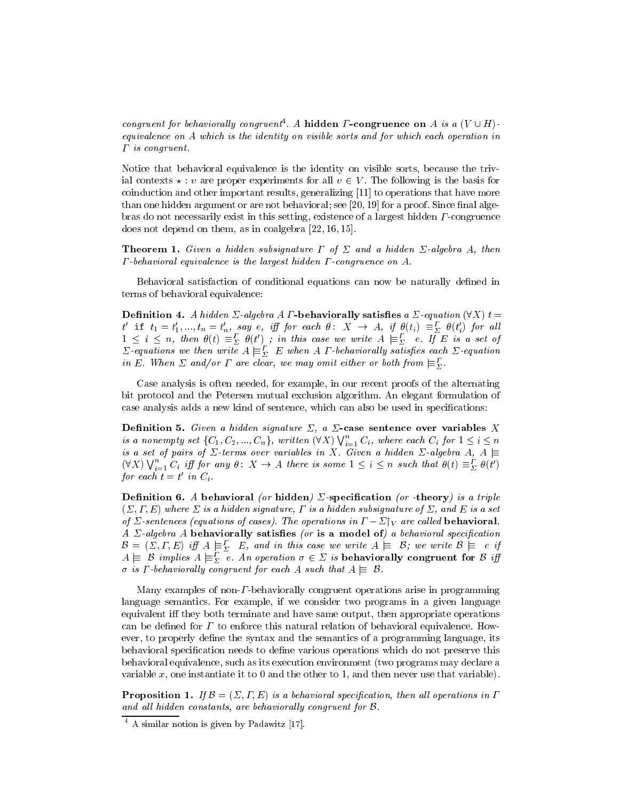congruent for behaviorally congruent. A **hidden** *l* -congruence on A is a  $(V \cup H)$ equivalence on A which is the identity on visible sorts and for which each operation in  $\Gamma$  is congruent.

Notice that behavioral equivalence is the identity on visible sorts, because the trivial contexts  $\star : v$  are proper experiments for all  $v \in V$ . The following is the basis for coinduction and other important results, generalizing [11] to operations that have more than one hidden argument or are not behavioral; see  $[20, 19]$  for a proof. Since final algebras do not necessarily exist in this setting, existence of a largest hidden  $\Gamma$ -congruence does not depend on them, as in coalgebra [22, 16, 15].

**Theorem 1.** Given a hidden subsignature  $\Gamma$  of  $\Sigma$  and a hidden  $\Sigma$ -algebra A, then  $\Gamma$ -behavioral equivalence is the largest hidden  $\Gamma$ -congruence on A.

Behavioral satisfaction of conditional equations can now be naturally defined in terms of behavioral equivalence:

**Definition 4.** A hidden  $\Sigma$ -algebra A  $\Gamma$ -behaviorally satisfies a  $\Sigma$ -equation  $(\forall X)$  t =  $u_1$  if  $u_1 = u_1, ..., u_n = u_n$ , say e, if for each  $\sigma: \Lambda \to A$ , if  $\sigma(u_i) = \frac{\sigma}{\Sigma} \sigma(u_i)$  for all  $1 \leq i \leq n$ , then  $\sigma(i) =_{\Sigma} \sigma(i)$ ; in this case we write  $A \models_{\Sigma} e$ . If E is a set of  $\omega$ -equations we then write  $A \models_{\Sigma} E$  when A 1 -vehaviorally satisfies each  $\omega$ -equation in E. when  $\vartriangle$  and/or I are clear, we may omit either or both from  $\models_{\varSigma}$ .

Case analysis is often needed, for example, in our recent proofs of the alternating bit protocol and the Petersen mutual exclusion algorithm. An elegant formulation of case analysis adds a new kind of sentence, which can also be used in specifications:

**Definition 5.** Given a hidden signature  $\Sigma$ , a  $\Sigma$ -case sentence over variables X is a nonempty set  $\{C_1, C_2, ..., C_n\}$ , written  $(\forall X)$   $\bigvee_{i=1}^n C_i$ , where each  $C_i$  for  $1 \leq i \leq n$ is a set of pairs of -terms over variables in XX. Given a hidden - algebra A,A j- $(\forall X) \bigvee_{i=1}^n C_i$  iff for any  $\theta: X \to A$  there is some  $1 \leq i \leq n$  such that  $\theta(t) \equiv \sum_{i=1}^n \theta(t')$ for each  $t = t$  in  $C_i$ .

Definition 6. A behavioral (or hidden)  $\Sigma$ -specification (or -theory) is a triple  $(\Sigma, \Gamma, E)$  where  $\Sigma$  is a hidden signature,  $\Gamma$  is a hidden subsignature of  $\Sigma$ , and E is a set of  $\Sigma$ -sentences (equations of cases). The operations in  $\Gamma - \Sigma |_{V}$  are called **behavioral**. A  $\Sigma$ -algebra A behaviorally satisfies (or is a model of) a behavioral specification  $B = (2, I, E)$  if  $A \models_{\Sigma}^{\sim} E$ , and in this case we write  $A \models B$ ; we write  $B \models e \ y$  $A \equiv B$  implies  $A \models_{\Sigma}^{\sim} e$ . An operation  $\sigma \in \Sigma$  is behaviorally congruent for B iff  $\sigma$  is  $\Gamma$ -behaviorally congruent for each A such that  $A \vDash B$ .

Many examples of non- $\Gamma$ -behaviorally congruent operations arise in programming language semantics. For example, if we consider two programs in a given language equivalent iff they both terminate and have same output, then appropriate operations can be defined for  $\Gamma$  to enforce this natural relation of behavioral equivalence. However, to properly define the syntax and the semantics of a programming language, its behavioral specification needs to define various operations which do not preserve this behavioral equivalence, such as its execution environment (two programs may declare a variable  $x$ , one instantiate it to 0 and the other to 1, and then never use that variable).

**Proposition 1.** If  $\mathcal{B} = (\Sigma, \Gamma, E)$  is a behavioral specification, then all operations in  $\Gamma$ and all hidden constants, are behaviorally congruent for  $B$ .

 $\pm$  A similar notion is given by Padawitz  $|17|$ .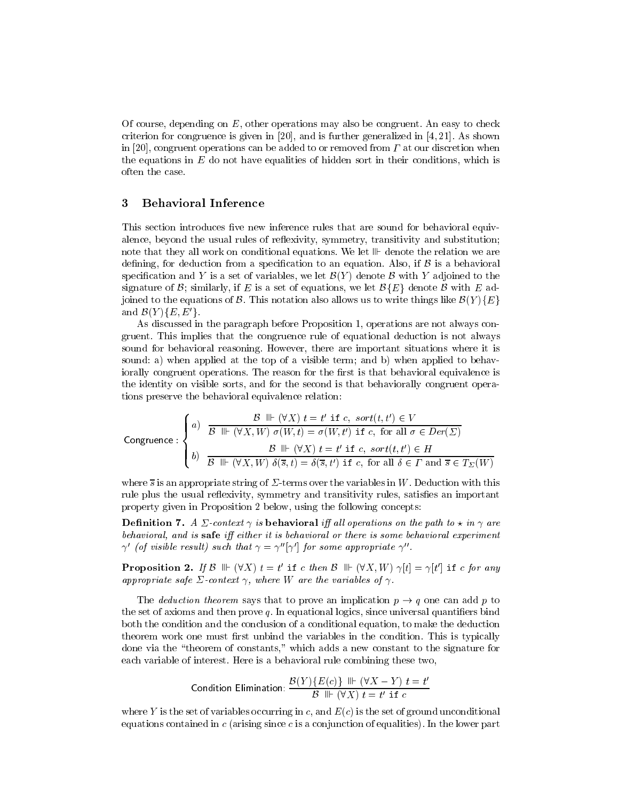Of course, depending on  $E$ , other operations may also be congruent. An easy to check criterion for congruence is given in  $[20]$ , and is further generalized in  $[4, 21]$ . As shown in [20], congruent operations can be added to or removed from  $\Gamma$  at our discretion when the equations in  $E$  do not have equalities of hidden sort in their conditions, which is often the case.

#### 3 **Behavioral Inference**

This section introduces five new inference rules that are sound for behavioral equivalence, beyond the usual rules of reflexivity, symmetry, transitivity and substitution; note that they all work on conditional equations. We let  $\mathbb{H}$  denote the relation we are defining, for deduction from a specification to an equation. Also, if  $\beta$  is a behavioral specification and Y is a set of variables, we let  $\mathcal{B}(Y)$  denote  $\mathcal B$  with Y adjoined to the signature of B; similarly, if E is a set of equations, we let  $\mathcal{B}{E}$  denote B with E adjoined to the equations of B. This notation also allows us to write things like  $\mathcal{B}(Y)\{E\}$ and  $D(T)E$ ; Eq.

As discussed in the paragraph before Proposition 1, operations are not always congruent. This implies that the congruence rule of equational deduction is not always sound for behavioral reasoning. However, there are important situations where it is sound: a) when applied at the top of a visible term; and b) when applied to behaviorally congruent operations. The reason for the first is that behavioral equivalence is the identity on visible sorts, and for the second is that behaviorally congruent operations preserve the behavioral equivalence relation:

$$
\text{Congruence}: \begin{cases} a) & \frac{\mathcal{B}}{\mathcal{B}} \text{ } \parallel\vdash (\forall X) \text{ } t=t' \text{ if } c, \text{ } sort(t,t') \in V \\ & \text{ } b \text{ } \end{cases}
$$
\n
$$
b) \frac{\mathcal{B}}{\mathcal{B}} \text{ } \parallel\vdash (\forall X, W) \text{ } \sigma(W, t) = \sigma(W, t') \text{ if } c, \text{ for all } \sigma \in Der(\Sigma)
$$
\n
$$
b) \frac{\mathcal{B}}{\mathcal{B}} \text{ } \parallel\vdash (\forall X, W) \text{ } \delta(\overline{s}, t) = \delta(\overline{s}, t') \text{ if } c, \text{ for all } \delta \in \Gamma \text{ and } \overline{s} \in T_{\Sigma}(W)
$$

where  $\overline{s}$  is an appropriate string of  $\Sigma$ -terms over the variables in W. Deduction with this rule plus the usual reflexivity, symmetry and transitivity rules, satisfies an important property given in Proposition 2 below, using the following concepts:

**Definition 7.** A  $\Sigma$ -context  $\gamma$  is behavioral iff all operations on the path to  $\star$  in  $\gamma$  are behavioral, and is safe iff either it is behavioral or there is some behavioral experiment  $\gamma'$  (of visible result) such that  $\gamma = \gamma''[\gamma']$  for some appropriate  $\gamma''$ .

**Proposition 2.** If B  $\exists \Gamma$  (8X)  $t = t$  if cluent B  $\exists \Gamma$  (8X, W)  $\gamma |t| = \gamma |t|$  if clor any appropriate safe  $\Sigma$ -context  $\gamma$ , where W are the variables of  $\gamma$ .

The *deduction theorem* says that to prove an implication  $p \rightarrow q$  one can add p to the set of axioms and then prove  $q$ . In equational logics, since universal quantifiers bind both the condition and the conclusion of a conditional equation, to make the deduction theorem work one must first unbind the variables in the condition. This is typically done via the \theorem of constants," which adds a new constant to the signature for each variable of interest. Here is a behavioral rule combining these two,

Condition Elimination: 
$$
\frac{\mathcal{B}(Y)\{E(c)\}\parallel \vdash (\forall X - Y) t = t'}{\mathcal{B}\parallel \vdash (\forall X) t = t' \text{ if } c}
$$

where Y is the set of variables occurring in c, and  $E(c)$  is the set of ground unconditional equations contained in  $c$  (arising since  $c$  is a conjunction of equalities). In the lower part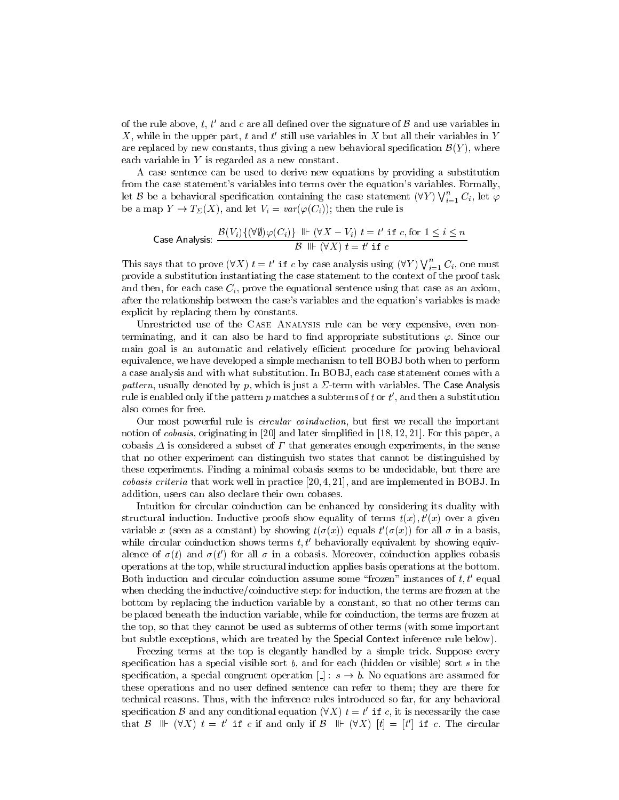of the rule above,  $t,\,t$  and  $c$  are all defined over the signature of  ${\cal D}$  and use variables in  $\Lambda$ , while in the upper part, t and t still use variables in  $\Lambda$  but all their variables in  $Y$ are replaced by new constants, thus giving a new behavioral specification  $\mathcal{B}(Y)$ , where each variable in Y is regarded as a new constant.

A case sentence can be used to derive new equations by providing a substitution from the case statement's variables into terms over the equation's variables. Formally, let B be a behavioral specification containing the case statement  $(\forall Y) \bigvee_{i=1}^n C_i$ , let  $\varphi$ be a map  $Y \to T_{\Sigma}(X)$ , and let  $V_i = var(\varphi(C_i))$ ; then the rule is

Case Analysis: 
$$
\frac{\mathcal{B}(V_i)\{(\forall \emptyset)\varphi(C_i)\}\ \parallel\vdash (\forall X - V_i)\ t = t' \text{ if } c, \text{for}\ 1 \leq i \leq n}{\mathcal{B} \ \parallel\vdash (\forall X)\ t = t' \text{ if } c}
$$

This says that to prove  $(\forall X)$   $t = t'$  if c by case analysis using  $(\forall Y)$   $\bigvee_{i=1}^{n} C_i$ , one must provide a substitution instantiating the case statement to the context of the proof task and then, for each case  $C_i$ , prove the equational sentence using that case as an axiom, after the relationship between the case's variables and the equation's variables is made explicit by replacing them by constants.

Unrestricted use of the Case Analysis rule can be very expensive, even nonterminating, and it can also be hard to find appropriate substitutions  $\varphi$ . Since our main goal is an automatic and relatively efficient procedure for proving behavioral equivalence, we have developed a simple mechanism to tell BOBJ both when to perform a case analysis and with what substitution. In BOBJ, each case statement comes with a pattern, usually denoted by p, which is just a  $\Sigma$ -term with variables. The Case Analysis rule is enabled only if the pattern  $p$  matches a subterms of  $t$  or  $t$  , and then a substitution also comes for free.

Our most powerful rule is *circular coinduction*, but first we recall the important notion of *cobasis*, originating in  $[20]$  and later simplified in  $[18, 12, 21]$ . For this paper, a cobasis  $\Delta$  is considered a subset of  $\Gamma$  that generates enough experiments, in the sense that no other experiment can distinguish two states that cannot be distinguished by these experiments. Finding a minimal cobasis seems to be undecidable, but there are cobasis criteria that work well in practice [20, 4, 21], and are implemented in BOBJ. In addition, users can also declare their own cobases.

Intuition for circular coinduction can be enhanced by considering its duality with structural induction. Inductive proofs show equality of terms  $t(x)$ ,  $t'(x)$  over a given variable x (seen as a constant) by showing  $v(v(x))$  equals  $v(v(x))$  for all  $v$  in a basis, while circular coinduction shows terms  $t, t'$  behaviorally equivalent by showing equivalence of  $\sigma(v)$  and  $\sigma(v)$  for all  $\sigma$  in a cobasis. Moreover, comunication applies cobasis operations at the top, while structural induction applies basis operations at the bottom. Both induction and circular coinduction assume some "frozen" instances of  $t, t'$  equal when checking the inductive/coinductive step: for induction, the terms are frozen at the bottom by replacing the induction variable by a constant, so that no other terms can be placed beneath the induction variable, while for coinduction, the terms are frozen at the top, so that they cannot be used as subterms of other terms (with some important but subtle exceptions, which are treated by the Special Context inference rule below).

Freezing terms at the top is elegantly handled by a simple trick. Suppose every specification has a special visible sort b, and for each (hidden or visible) sort s in the specification, a special congruent operation  $\Box$ :  $s \to b$ . No equations are assumed for these operations and no user defined sentence can refer to them; they are there for technical reasons. Thus, with the inference rules introduced so far, for any behavioral specification  $D$  and any conditional equation ( $\sqrt{X}$ )  $t = t$  . If  $c$ , it is necessarily the case that  $D$  if  $(\forall A)$   $t \equiv t$  if changeonly if  $D$  if  $(\forall A)$   $[t] \equiv [t]$  if c. The circular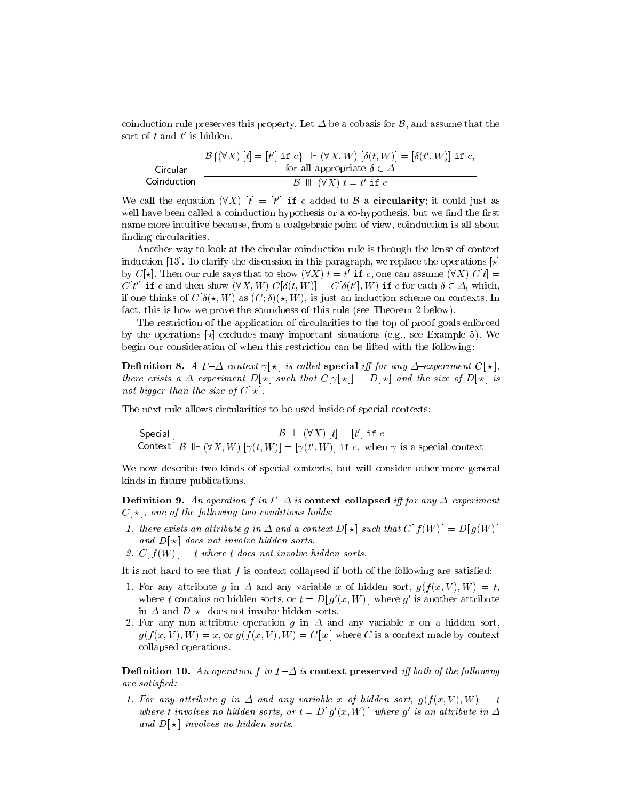coinduction rule preserves this property. Let  $\Delta$  be a cobasis for  $\mathcal{B}$ , and assume that the sort of  $\iota$  and  $\iota$  is moden.

$$
\mathcal{B}\{(\forall X) [t] = [t'] \text{ if } c\} \Vdash (\forall X, W) [\delta(t, W)] = [\delta(t', W)] \text{ if } c,
$$
  
Correlation:  

$$
\mathcal{B} \Vdash (\forall X) t = t' \text{ if } c
$$

We call the equation  $(\forall X)$   $[t] = [t]$  If c added to B a circularity; it could just as well have been called a coinduction hypothesis or a co-hypothesis, but we find the first name more intuitive because, from a coalgebraic point of view, coinduction is all about finding circularities.

Another way to look at the circular coinduction rule is through the lense of context induction [13]. To clarify the discussion in this paragraph, we replace the operations  $\ket{\star}$ by  $C[\star]$ . Then our rule says that to show ( $\forall \Lambda$ )  $t = t$  11 c, one can assume ( $\forall \Lambda$ ) C[t]  $=$  $C[t]$  if cand then show  $(\forall A, W)$   $C[\theta(t, W)] = C[\theta(t), W)$  if c for each  $\theta \in \Delta$ , which, if one thinks of  $C[\delta(\star, W)]$  as  $(C; \delta)(\star, W)$ , is just an induction scheme on contexts. In fact, this is how we prove the soundness of this rule (see Theorem 2 below).

The restriction of the application of circularities to the top of proof goals enforced by the operations  $\vert \star \vert$  excludes many important situations (e.g., see Example 5). We begin our consideration of when this restriction can be lifted with the following:

**Definition 8.** A  $\Gamma$ - $\Delta$  context  $\gamma[\star]$  is called **special** iff for any  $\Delta$ -experiment  $C[\star]$ , there exists a  $\Delta$ -experiment  $D[\star]$  such that  $C[\gamma[\star]] = D[\star]$  and the size of  $D[\star]$  is not bigger than the size of  $C[ \star ]$ .

The next rule allows circularities to be used inside of special contexts:

Special  
Context 
$$
\overline{B} \parallel \vdash (\forall X) [t] = [t']
$$
 if c  
Context  $\overline{B} \parallel \vdash (\forall X, W) [\gamma(t, W)] = [\gamma(t', W)]$  if c, when  $\gamma$  is a special context

We now describe two kinds of special contexts, but will consider other more general kinds in future publications.

**Definition 9.** An operation f in  $\Gamma - \Delta$  is **context collapsed** iff for any  $\Delta$ -experiment  $C[\star]$ , one of the following two conditions holds:

- 1. there exists an attribute g in  $\Delta$  and a context  $D[\star]$  such that  $C[f(W)] = D[g(W)]$ and  $D[\star]$  does not involve hidden sorts.
- 2.  $C[f(W)] = t$  where t does not involve hidden sorts.

It is not hard to see that  $f$  is context collapsed if both of the following are satisfied:

- 1. For any attribute g in  $\Delta$  and any variable x of hidden sort,  $g(f(x, V), W) = t$ , where t contains no hidden sorts, or  $t = D[g'(x, W)]$  where g' is another attribute in  $\Delta$  and  $D[\star]$  does not involve hidden sorts.
- 2. For any non-attribute operation g in  $\Delta$  and any variable x on a hidden sort,  $g(f(x, V), W) = x$ , or  $g(f(x, V), W) = C[x]$  where C is a context made by context collapsed operations.

**Definition 10.** An operation f in  $I - \Delta$  is context preserved iff both of the following are satisfied:

1. For any attribute g in  $\Delta$  and any variable x of hidden sort,  $g(f(x, V), W) = t$ where t involves no hidden sorts, or  $t = D[g'(x, W)]$  where g' is an attribute in  $\Delta$ and  $D[\star]$  involves no hidden sorts.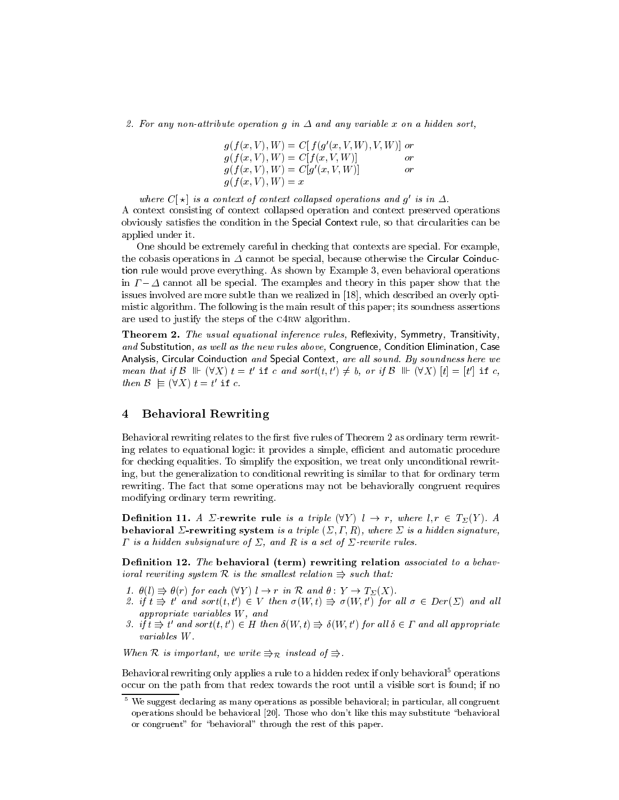2. For any non-attribute operation q in  $\Delta$  and any variable x on a hidden sort,

$$
g(f(x, V), W) = C[f(g'(x, V, W), V, W)]
$$
  
\n
$$
g(f(x, V), W) = C[f(x, V, W)]
$$
  
\n
$$
g(f(x, V), W) = C[g'(x, V, W)]
$$
  
\nor  
\n
$$
g(f(x, V), W) = x
$$

where  $\cup$   $\uparrow$  is a context of context collapsed operations and g is in  $\varDelta$ . A context consisting of context collapsed operation and context preserved operations obviously satisfies the condition in the Special Context rule, so that circularities can be applied under it.

One should be extremely careful in checking that contexts are special. For example, the cobasis operations in  $\Delta$  cannot be special, because otherwise the Circular Coinduction rule would prove everything. As shown by Example 3, even behavioral operations in cannot all be special. The examples and theory in this paper show that the issues involved are more subtle than we realized in [18], which described an overly optimistic algorithm. The following is the main result of this paper; its soundness assertions are used to justify the steps of the c4rw algorithm.

Theorem 2. The usual equational inference rules, Reflexivity, Symmetry, Transitivity, and Substitution, as well as the new rules above, Congruence, Condition Elimination, Case Analysis, Circular Coinduction and Special Context, are all sound. By soundness here we mean that if  $B$  firm  $(A \wedge B)$   $t = t$  if cand sort(t, t  $t \neq 0$ , or if  $B$  firm  $(A \wedge B)$  if  $t = [t + 1]$  c, then  $D \models (A \cup C) = C$  if  $C$ .

#### 4 Behavioral Rewriting  $\overline{4}$

Behavioral rewriting relates to the first five rules of Theorem 2 as ordinary term rewriting relates to equational logic: it provides a simple, efficient and automatic procedure for checking equalities. To simplify the exposition, we treat only unconditional rewriting, but the generalization to conditional rewriting is similar to that for ordinary term rewriting. The fact that some operations may not be behaviorally congruent requires modifying ordinary term rewriting.

**Definition 11.** A  $\Sigma$ -rewrite rule is a triple  $(\forall Y)$   $l \rightarrow r$ , where  $l, r \in T_{\Sigma}(Y)$ . A behavioral  $\Sigma$ -rewriting system is a triple  $(\Sigma, \Gamma, R)$ , where  $\Sigma$  is a hidden signature,  $\Gamma$  is a hidden subsignature of  $\Sigma$ , and R is a set of  $\Sigma$ -rewrite rules.

Definition 12. The behavioral (term) rewriting relation associated to a behavioral rewriting system R is the smallest relation  $\Rightarrow$  such that:

- 1.  $\theta(l) \Rightarrow \theta(r)$  for each  $(\forall Y)$   $l \rightarrow r$  in  $\mathcal{R}$  and  $\theta: Y \rightarrow T_{\Sigma}(X)$ .
- z  $\iota_l$   $\iota_l \Rightarrow \iota_l$  and sort(t,  $\iota_l \in V$  then  $\sigma(VV, \iota_l) \Rightarrow \sigma(VV, \iota_l)$  for all  $\sigma \in Der(\varnothing)$  and all appropriate variables W, and
- 3.  $\eta \iota \Rightarrow \iota$  and sort(t,  $\iota \iota \in \Pi$  then  $\sigma(\gamma \iota, \iota) \Rightarrow \sigma(\gamma \iota, \iota \iota)$  for all  $\sigma \in \Pi$  and all appropriate variables W.

when  $\alpha$  is improved, we write  $\rightarrow \infty$  instead of  $\rightarrow \infty$ .

Behavioral rewriting only applies a rule to a hidden redex if only behavioral<sup>5</sup> operations occur on the path from that redex towards the root until a visible sort is found; if no

<sup>5</sup> We suggest declaring as many operations as possible behavioral; in particular, all congruent operations should be behavioral [20]. Those who don't like this may substitute \behavioral or congruent" for \behavioral" through the rest of this paper.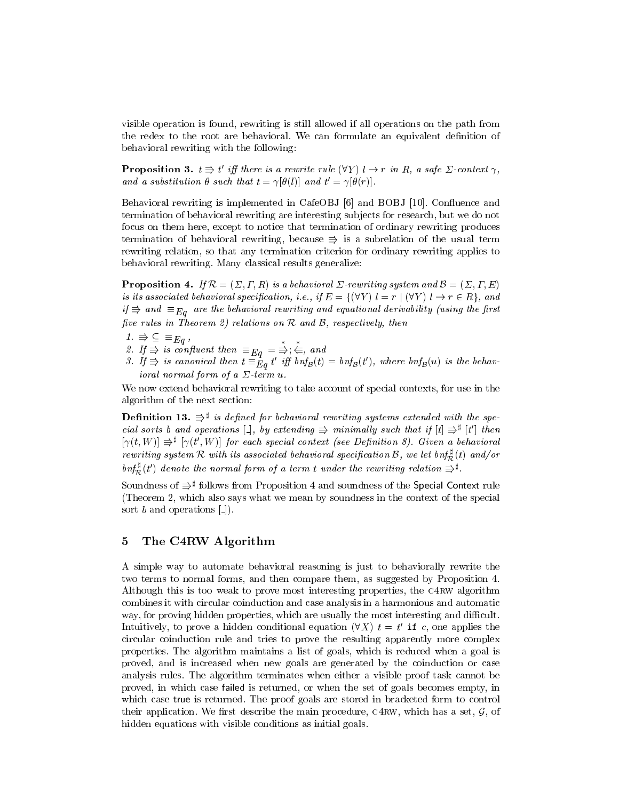visible operation is found, rewriting is still allowed if all operations on the path from the redex to the root are behavioral. We can formulate an equivalent definition of behavioral rewriting with the following:

**Proposition 5.**  $t \Rightarrow t$  if there is a rewrite rule  $(\forall t)$   $t \rightarrow r$  in R, a safe  $\geq$  context  $\gamma$ , and a substitution  $\sigma$  such that  $t = \gamma |\sigma(t)|$  and  $t = \gamma |\sigma(t)|$ .

Behavioral rewriting is implemented in CafeOBJ [6] and BOBJ [10]. Confluence and termination of behavioral rewriting are interesting sub jects for research, but we do not focus on them here, except to notice that termination of ordinary rewriting produces termination of behavioral rewriting, because  $\Rightarrow$  is a subrelation of the usual term rewriting relation, so that any termination criterion for ordinary rewriting applies to behavioral rewriting. Many classical results generalize:

**Proposition 4.** If  $\mathcal{R} = (\Sigma, \Gamma, R)$  is a behavioral  $\Sigma$ -rewriting system and  $\mathcal{B} = (\Sigma, \Gamma, E)$ is its associated behavioral specification, i.e., if  $E = \{(\forall Y) \mid l = r \mid (\forall Y) \mid l \rightarrow r \in R\}$ , and  $\bm{v}$  and  $\bm{v}$  and  $\bm{v}$  are the behavioral rewriting and equational derivations (using the fusion five rules in Theorem 2) relations on  $R$  and  $B$ , respectively, then

- $\Box$   $\Box$   $=$   $\Box$   $\Box$   $\Box$   $=$   $\Box$   $\Box$   $\Box$   $=$   $\Box$   $\Box$   $\Box$   $=$   $\Box$   $\Box$   $\Box$   $=$   $\Box$   $\Box$   $\Box$   $=$   $\Box$   $\Box$   $\Box$   $=$   $\Box$   $\Box$   $\Box$   $=$   $\Box$   $\Box$   $\Box$   $=$   $\Box$   $\Box$   $\Box$   $=$   $\Box$   $\Box$   $\Box$   $=$   $\Box$   $\Box$   $\Box$   $=$
- 2. If  $\Rightarrow$  is confluent then  $\equiv_{Eq}$  =  $\Rightarrow$ ;  $\Leftarrow$ , and
- 3. If  $\Rightarrow$  is canonical then  $t =_{Eq} t$  iff  $\delta u_{B}(t) = \delta u_{B}(t)$ , where  $\delta u_{B}(u)$  is the behavioral normal form of a  $\Sigma$ -term u.

We now extend behavioral rewriting to take account of special contexts, for use in the algorithm of the next section:

**Definition 15.**  $\Rightarrow$  is defined for vendotoral rewriting systems extended with the special sorts b and operations  $| \_ |$ , by extending  $\Rightarrow$  minimally such that if  $|t| \Rightarrow^* |t|$  th [t ] then  $|\gamma(t, W)| \Rightarrow^* |\gamma(t, W)|$  for each special context (see Definition 8). Given a venavioral rewriting system K with its associated behavioral specification B, we let bnf $_{\mathcal{R}}(t)$  and/or bnf $\tilde{\tau}_k(t)$  denote the normal form of a term t under the rewriting relation  $\Rightarrow^*$ .

Soundness of  $\Rightarrow$  follows from Proposition 4 and soundness of the Special Context rule (Theorem 2, which also says what we mean by soundness in the context of the special sort  $b$  and operations  $\Box$ ).

#### 5 The C4RW Algorithm

A simple way to automate behavioral reasoning is just to behaviorally rewrite the two terms to normal forms, and then compare them, as suggested by Proposition 4. Although this is too weak to prove most interesting properties, the c4rw algorithm combines it with circular coinduction and case analysis in a harmonious and automatic way, for proving hidden properties, which are usually the most interesting and difficult. Intuitively, to prove a moden conditional equation (y $\Lambda$ )  $t = t$  If c, one applies the circular coinduction rule and tries to prove the resulting apparently more complex properties. The algorithm maintains a list of goals, which is reduced when a goal is proved, and isincreased when new goals are generated by the coinduction or case analysis rules. The algorithm terminates when either a visible proof task cannot be proved, in which case failed is returned, or when the set of goals becomes empty, in which case true is returned. The proof goals are stored in bracketed form to control their application. We first describe the main procedure,  $C4RW$ , which has a set,  $\mathcal{G}$ , of hidden equations with visible conditions as initial goals.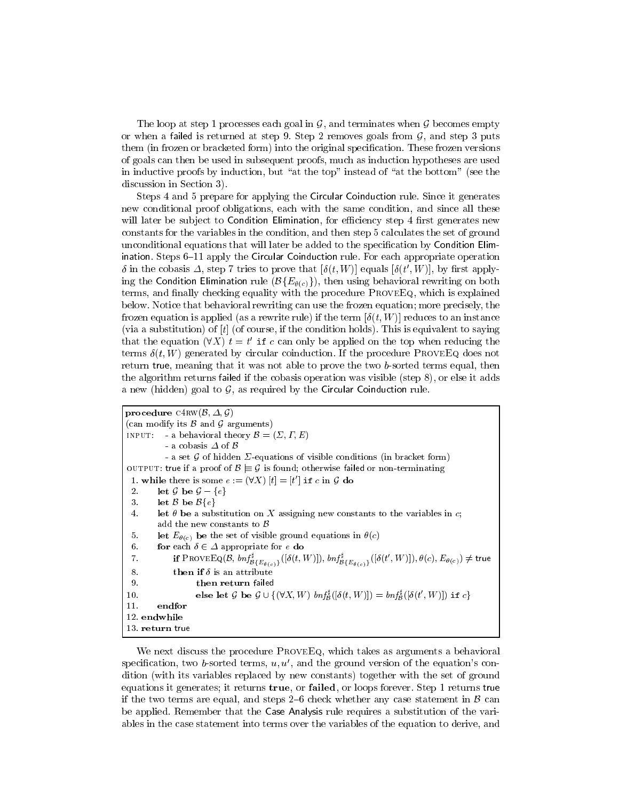The loop at step 1 processes each goal in  $\mathcal G$ , and terminates when  $\mathcal G$  becomes empty or when a failed is returned at step 9. Step 2 removes goals from  $\mathcal{G}$ , and step 3 puts them (in frozen or bracketed form) into the original specification. These frozen versions of goals can then be used in subsequent proofs, much as induction hypotheses are used in inductive proofs by induction, but "at the top" instead of "at the bottom" (see the discussion in Section 3).

Steps 4 and 5 prepare for applying the Circular Coinduction rule. Since it generates new conditional proof obligations, each with the same condition, and since all these will later be subject to Condition Elimination, for efficiency step 4 first generates new constants for the variables in the condition, and then step 5 calculates the set of ground unconditional equations that will later be added to the specication by Condition Elimination. Steps  $6-11$  apply the Circular Coinduction rule. For each appropriate operation *o* in the cobasis  $\Delta$ , step 7 tries to prove that  $|o(t, W)|$  equals  $|o(t, W)|$ , by first applying the Condition Elimination rule  $(\mathcal{B}\{E_{\theta(c)}\})$ , then using behavioral rewriting on both  $terms, and finally checking equality with the procedure  $PROVEEq$ , which is explained$ below. Notice that behavioral rewriting can use the frozen equation; more precisely, the frozen equation is applied (as a rewrite rule) if the term  $\delta(t, W)$  reduces to an instance (via a substitution) of  $[t]$  (of course, if the condition holds). This is equivalent to saying that the equation ( $8X$ )  $t = t$  11 c can only be applied on the top when reducing the terms  $\delta(t, W)$  generated by circular coinduction. If the procedure PROVEEQ does not return true, meaning that it was not able to prove the two b-sorted terms equal, then the algorithm returns failed if the cobasis operation was visible (step 8), or else it adds a new (hidden) goal to  $G$ , as required by the Circular Coinduction rule.

| procedure $C4RW(\mathcal{B}, \Delta, \mathcal{G})$                                                                                                                                                                                    |
|---------------------------------------------------------------------------------------------------------------------------------------------------------------------------------------------------------------------------------------|
| (can modify its $\beta$ and $\beta$ arguments)                                                                                                                                                                                        |
| INPUT: a behavioral theory $\mathcal{B} = (\Sigma, \Gamma, E)$                                                                                                                                                                        |
| - a cobasis $\Delta$ of $\beta$                                                                                                                                                                                                       |
| - a set G of hidden $\Sigma$ -equations of visible conditions (in bracket form)                                                                                                                                                       |
| OUTPUT: true if a proof of $\mathcal{B} \models \mathcal{G}$ is found; otherwise failed or non-terminating                                                                                                                            |
| 1. while there is some $e := (\forall X) [t] = [t']$ if c in $\mathcal G$ do                                                                                                                                                          |
| let $\mathcal{G}$ be $\mathcal{G} - \{e\}$<br>$2 -$                                                                                                                                                                                   |
| let $\mathcal{B}$ be $\mathcal{B}\{e\}$<br>3.                                                                                                                                                                                         |
| let $\theta$ be a substitution on X assigning new constants to the variables in c;<br>4.                                                                                                                                              |
| add the new constants to $\mathcal B$                                                                                                                                                                                                 |
| let $E_{\theta(c)}$ be the set of visible ground equations in $\theta(c)$<br>5.                                                                                                                                                       |
| for each $\delta \in \Delta$ appropriate for e do<br>6.                                                                                                                                                                               |
| <b>if</b> $\text{ProveEq}(\mathcal{B}, \textit{bnf}_{\mathcal{B}\{E_{\theta(c)}\}}^{\sharp}([\delta(t, W)]), \textit{bnf}_{\mathcal{B}\{E_{\theta(c)}\}}^{\sharp}([\delta(t', W)]), \theta(c), E_{\theta(c)}) \neq \text{true}$<br>7. |
| <b>then if</b> $\delta$ is an attribute<br>8.                                                                                                                                                                                         |
| 9.<br>then return failed                                                                                                                                                                                                              |
| else let $\mathcal G$ be $\mathcal G \cup \{(\forall X, W) \text{ brf}_R^{\sharp}([\delta(t, W)]) = brf_R^{\sharp}([\delta(t', W)]) \text{ if } c\}$<br>10.                                                                           |
| endfor<br>11.                                                                                                                                                                                                                         |
| 12. endwhile                                                                                                                                                                                                                          |
| 13. return true                                                                                                                                                                                                                       |

We next discuss the procedure PROVEEQ, which takes as arguments a behavioral specification, two b-sorted terms,  $u, u'$ , and the ground version of the equation's condition (with its variables replaced by new constants) together with the set of ground equations it generates; it returns true, or failed, or loops forever. Step 1 returns true if the two terms are equal, and steps 2–6 check whether any case statement in  $\beta$  can be applied. Remember that the Case Analysis rule requires a substitution of the variables in the case statement into terms over the variables of the equation to derive, and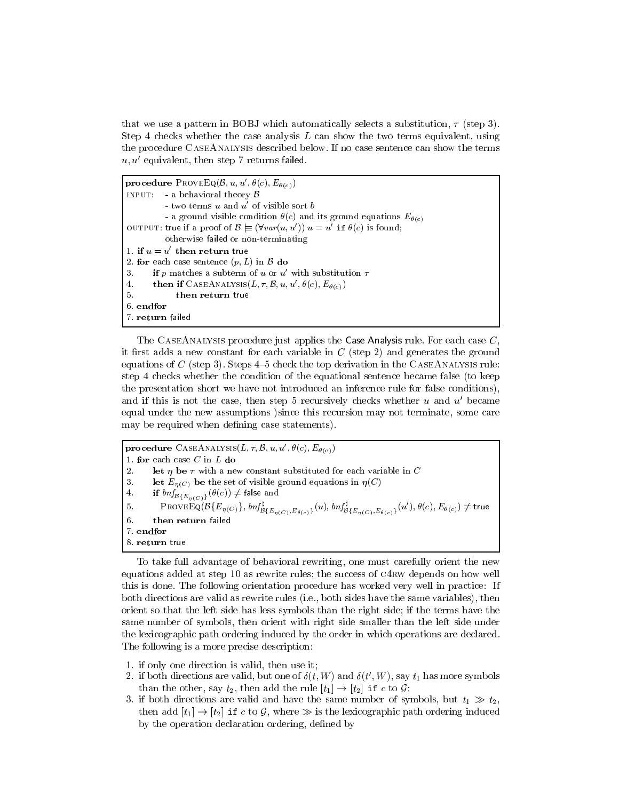that we use a pattern in BOBJ which automatically selects a substitution,  $\tau$  (step 3). Step 4 checks whether the case analysis  $L$  can show the two terms equivalent, using the procedure CaseAnalysis described below. If no case sentence can show the terms  $u, u'$  equivalent, then step 7 returns failed.

procedure  $PROVEEq(\mathcal{B}, u, u', \theta(c), E_{\theta(c)})$ INPUT: - a behavioral theory  $\beta$ - two terms  $u$  and  $u'$  of visible sort  $b$ - a ground visible condition  $\theta(c)$  and its ground equations  $E_{\theta(c)}$ OUTPUT: true if a proof of  $\mathcal{B} \equiv (\forall var(u, u'))$   $u = u'$  if  $\theta(c)$  is found; otherwise failed or non-terminating 1. if  $u = u'$  then return true 2. for each case sentence  $(p, L)$  in  $\beta$  do 3. if p matches a subterm of u or u' with substitution  $\tau$ 4. then if CASEANALYSIS $(L, \tau, \mathcal{B}, u, u', \theta(c), E_{\theta(c)})$ 5. then return true 6. endfor 7. return failed

The CaseAnalysis procedure just applies the Case Analysis rule. For each case C, it first adds a new constant for each variable in  $C$  (step 2) and generates the ground equations of C (step 3). Steps  $4-5$  check the top derivation in the CASEANALYSIS rule: step 4 checks whether the condition of the equational sentence became false (to keep the presentation short we have not introduced an inference rule for false conditions), and if this is not the case, then step 5 recursively checks whether u and  $u'$  became equal under the new assumptions )since this recursion may not terminate, some care may be required when defining case statements).

procedure CASEANALYSIS $(L, \tau, \mathcal{B}, u, u', \theta(c), E_{\theta(c)})$ 1. for each case  $C$  in  $L$  do 2. Let  $\eta$  be  $\tau$  with a new constant substituted for each variable in C 3. let  $E_{\eta(C)}$  be the set of visible ground equations in  $\eta(C)$ 4. if  $\text{inf}_{\mathcal{B}_{\{E_{\eta(C)}\}}}(\theta(c)) \neq \text{false}$  and  $5. \hspace{1cm} \text{ProveEq}(\mathcal{B}\{E_{\eta(C)}\}, \textit{bnf}_{\mathcal{B}\{E_{\eta(C)}, E_{\theta(c)}\}}^{\mathfrak{g}}(u), \textit{bnf}_{\mathcal{B}\{E_{\eta(C)}, E_{\theta(c)}\}}^{\mathfrak{g}}(u'), \theta(c), E_{\theta(c)}) \neq \text{true}$ 6. then return failed 7. endfor 8. return true

To take full advantage of behavioral rewriting, one must carefully orient the new equations added at step 10 as rewrite rules; the success of c4rw depends on how well this is done. The following orientation procedure has worked very well in practice: If both directions are valid as rewrite rules (i.e., both sides have the same variables), then orient so that the left side has less symbols than the right side; if the terms have the same number of symbols, then orient with right side smaller than the left side under the lexicographic path ordering induced by the order in which operations are declared. The following is a more precise description:

- 1. if only one direction is valid, then use it;
- 2. If both directions are valid, but one of  $\sigma(t, W)$  and  $\sigma(t, W)$ , say  $t_1$  has more symbols than the other, say  $t_2$ , then add the rule  $[t_1] \rightarrow [t_2]$  if c to  $\mathcal{G}$ ;
- 3. if both directions are valid and have the same number of symbols, but  $t_1 \gg t_2$ , then add  $[t_1] \rightarrow [t_2]$  if c to G, where  $\gg$  is the lexicographic path ordering induced by the operation declaration ordering, defined by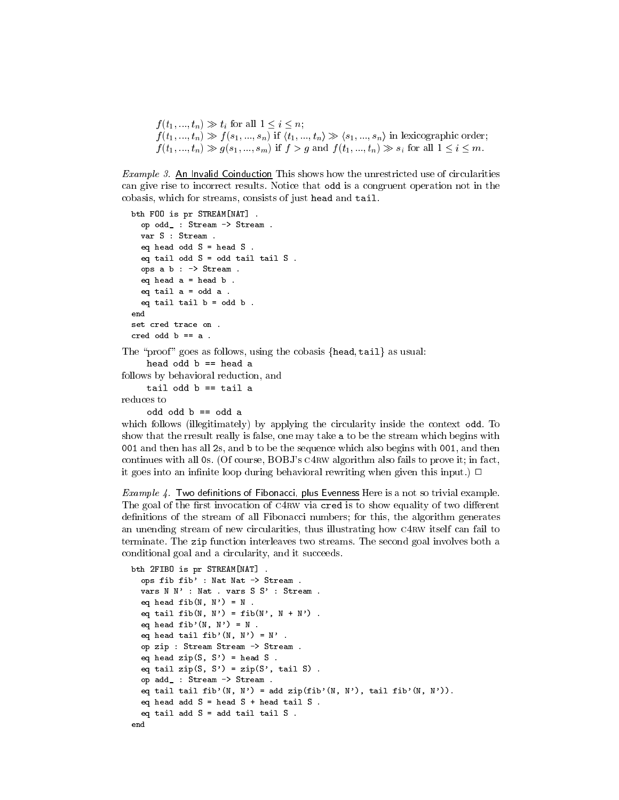```
f(t_1, \ldots, t_n) \gg t_i for all 1 \leq i \leq n;
f(t_1, ..., t_n) \gg f(s_1, ..., s_n) if \langle t_1, ..., t_n \rangle \gg \langle s_1, ..., s_n \rangle in lexicographic order;
f(t_1, ..., t_n) \gg g(s_1, ..., s_m) if f > g and f(t_1, ..., t_n) \gg s_i for all 1 \leq i \leq m.
```
Example 3. An Invalid Coinduction This shows how the unrestricted use of circularities can give rise to incorrect results. Notice that odd is a congruent operation not in the cobasis, which for streams, consists of just head and tail.

```
bth FOO is pr STREAM[NAT] .
    op odd_ : Stream -> Stream .
    var S : Stream .
    eq head odd S = head S .
    eq tail odd S = odd tail tail S .
    ops a b : -> Stream .
   eq head a = head b.
   eq tail a = odd a .
   eq tail tail b = odd b.
 end
 set cred trace on .
 cred odd b == a.
The "proof" goes as follows, using the cobasis \{head, tail\} as usual:
     head odd b == head a
follows by behavioral reduction, and
     tail odd b == tail a
reduces to
```

```
odd odd b == odd a
```
which follows (illegitimately) by applying the circularity inside the context odd. To show that the rresult really is false, one may take a to be the stream which begins with 001 and then has all 2s, and b to be the sequence which also begins with 001, and then continues with all 0s. (Of course, BOBJ's c4rw algorithm also fails to prove it; in fact, it goes into an infinite loop during behavioral rewriting when given this input.)  $\Box$ 

*Example 4.* Two definitions of Fibonacci, plus Evenness Here is a not so trivial example. The goal of the first invocation of C4RW via cred is to show equality of two different definitions of the stream of all Fibonacci numbers; for this, the algorithm generates an unending stream of new circularities, thus illustrating how c4rw itself can fail to terminate. The zip function interleaves two streams. The second goal involves both a conditional goal and a circularity, and it succeeds.

```
bth 2FIBO is pr STREAM[NAT] .
  ops fib fib' : Nat Nat -> Stream .
  vars N N' : Nat . vars S S' : Stream .
  eq head fib(N, N') = N.
  eq tail fib(N, N') = fib(N', N + N').
  eq head fib'(N, N') = N.
  eq head tail fib'(N, N') = N' .
  op zip : Stream Stream -> Stream .
  eq head zip(S, S') = head S.
  eq tail zip(S, S') = zip(S', tail S).
  op add_ : Stream -> Stream .
  eq tail tail fib'(N, N') = add zip(fib'(N, N'), tail fib'(N, N')).
  eq head add S = head S + head tail S.
  eq tail add S = add tail tail S.
end
```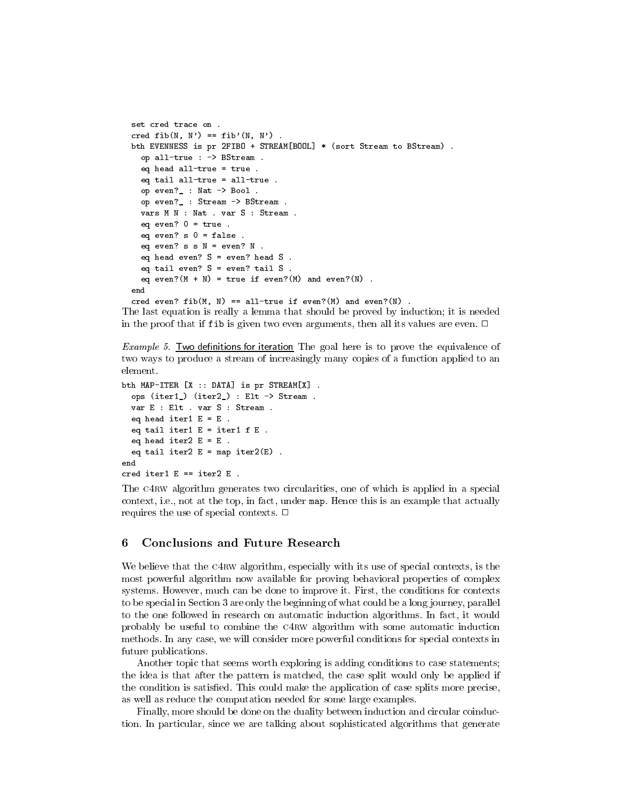```
set cred trace on .
cred fib(N, N') == fib'(N, N').
bth EVENNESS is pr 2FIBO + STREAM[BOOL] * (sort Stream to BStream) .
  op all-true : -> BStream .
  eq head all-true = true .
  eq tail all-true = all-true
  op even?_ : Nat -> Bool .
  op even?_ : Stream -> BStream .
  vars M N : Nat . var S : Stream .
  eq even? 0 = \text{true}.
  eq even? s = 0 = false.
  eq even? s s N = even? N .
  eq head even? S = even? head S .
  eq tail even? S = even? tail S .
  eq even?(M + N) = true if even?(M) and even?(N).
cred even? fib(M, N) == all-true if even?(M) and even?(N).
```
The last equation is really a lemma that should be proved by induction; it is needed in the proof that if f ib is given two even arguments, then all its values are even.  $\Box$ 

*Example 5.* Two definitions for iteration The goal here is to prove the equivalence of two ways to produce a stream of increasingly many copies of a function applied to an element.

```
bth MAP-ITER [X :: DATA] is pr STREAM[X] .
 ops (iter1_) (iter2_) : Elt -> Stream .
 var E : Elt . var S : Stream .
 eq head iter1 E = E.
 eq tail iter1 E = iter1 f E.
 eq head iter2 E = E.
 eq tail iter2 E = map iter2(E).
end
cred iter1 E == iter2 E.
```
The c4rw algorithm generates two circularities, one of which is applied in a special context, i.e., not at the top, in fact, under map. Hence this is an example that actually requires the use of special contexts.  $\Box$ 

#### 6 6 Conclusions and Future Research

We believe that the C4RW algorithm, especially with its use of special contexts, is the most powerful algorithm now available for proving behavioral properties of complex systems. However, much can be done to improve it. First, the conditions for contexts to be special in Section 3 are only the beginning of what could be a long journey, parallel to the one followed in research on automatic induction algorithms. In fact, it would probably be useful to combine the c4rw algorithm with some automatic induction methods. In any case, we will consider more powerful conditions for special contexts in future publications.

Another topic that seems worth exploring is adding conditions to case statements; the idea is that after the pattern is matched, the case split would only be applied if the condition is satised. This could make the application of case splits more precise, as well as reduce the computation needed for some large examples.

Finally, more should be done on the duality between induction and circular coinduction. In particular, since we are talking about sophisticated algorithms that generate